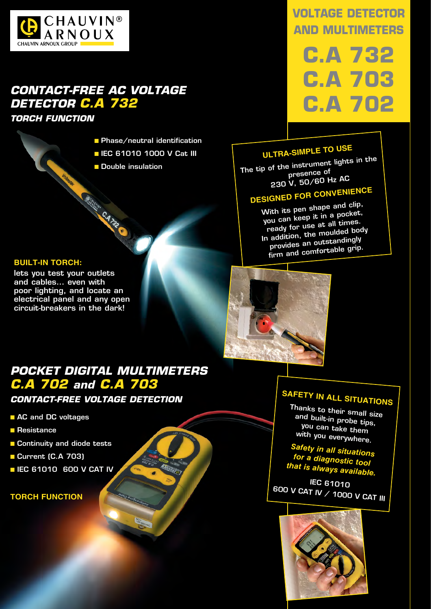

## *CONTACT-FREE AC VOLTAGE DETECTOR C.A 732*

**Richards C.A. 732** 

*TORCH FUNCTION*

- Phase/neutral identification
- **E IEC 61010 1000 V Cat III**
- Double insulation

### **VOLTAGE DETECTOR AND MULTIMETERS**

**C.A 732 C.A 703 C.A 702**

## **ULTRA-SIMPLE TO USE**

The tip of the instrument lights in the presence o<sup>f</sup> 230 V, 50/60 Hz AC

# **DESIGNED FOR CONVENIENCE**

With its pen shape and clip, you can keep it in a pocket, ready for use at all times. In addition, the moulded body provides an outstandingly firm and comfortable grip.

### **BUILT-IN TORCH:**

lets you test your outlets and cables… even with poor lighting, and locate an electrical panel and any open circuit-breakers in the dark!



### *POCKET DIGITAL MULTIMETERS C.A 702 and C.A 703*

*CONTACT-FREE VOLTAGE DETECTION*

- AC and DC voltages
- Resistance
- Continuity and diode tests
- Current (C.A 703)
- **E IEC 61010 600 V CAT IV**

### **TORCH FUNCTION**

## **Safety in all situations**

Thanks to their small size and built-in probe tips, you can take them with you everywhere.

*Safety in all situations for a diagnostic tool that is always available.*

IEC 61010 600 V CAT IV / 1000 V CAT III